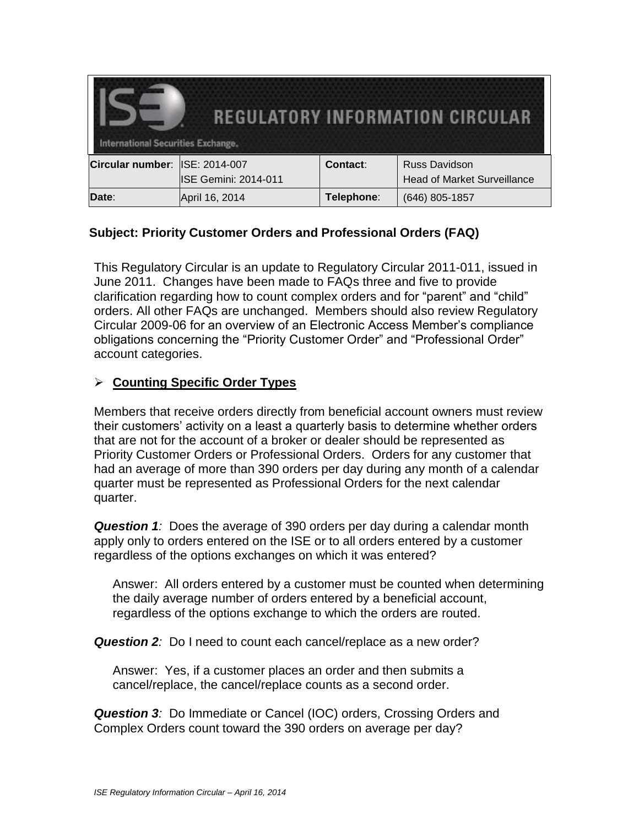| <b>REGULATORY INFORMATION CIRCULAR</b><br><b>International Securities Exchange.</b> |                             |            |                                    |
|-------------------------------------------------------------------------------------|-----------------------------|------------|------------------------------------|
| Circular number:                                                                    | <b>ISE: 2014-007</b>        | Contact:   | <b>Russ Davidson</b>               |
|                                                                                     | <b>ISE Gemini: 2014-011</b> |            | <b>Head of Market Surveillance</b> |
| <b>Date:</b>                                                                        | April 16, 2014              | Telephone: | (646) 805-1857                     |

# **Subject: Priority Customer Orders and Professional Orders (FAQ)**

This Regulatory Circular is an update to Regulatory Circular 2011-011, issued in June 2011. Changes have been made to FAQs three and five to provide clarification regarding how to count complex orders and for "parent" and "child" orders. All other FAQs are unchanged. Members should also review Regulatory Circular 2009-06 for an overview of an Electronic Access Member's compliance obligations concerning the "Priority Customer Order" and "Professional Order" account categories.

### **Counting Specific Order Types**

Members that receive orders directly from beneficial account owners must review their customers' activity on a least a quarterly basis to determine whether orders that are not for the account of a broker or dealer should be represented as Priority Customer Orders or Professional Orders. Orders for any customer that had an average of more than 390 orders per day during any month of a calendar quarter must be represented as Professional Orders for the next calendar quarter.

*Question 1:* Does the average of 390 orders per day during a calendar month apply only to orders entered on the ISE or to all orders entered by a customer regardless of the options exchanges on which it was entered?

Answer: All orders entered by a customer must be counted when determining the daily average number of orders entered by a beneficial account, regardless of the options exchange to which the orders are routed.

*Question 2:* Do I need to count each cancel/replace as a new order?

Answer: Yes, if a customer places an order and then submits a cancel/replace, the cancel/replace counts as a second order.

*Question 3:* Do Immediate or Cancel (IOC) orders, Crossing Orders and Complex Orders count toward the 390 orders on average per day?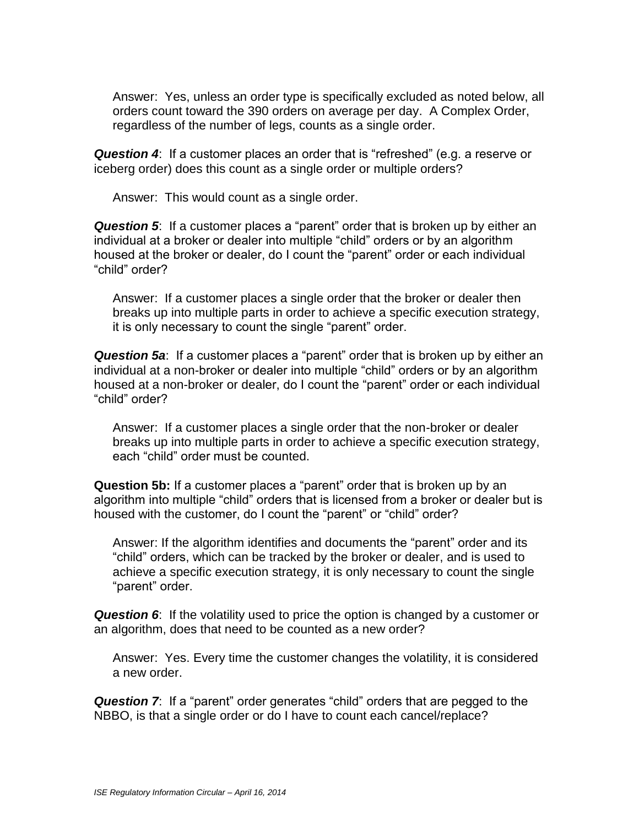Answer: Yes, unless an order type is specifically excluded as noted below, all orders count toward the 390 orders on average per day. A Complex Order, regardless of the number of legs, counts as a single order.

*Question 4*: If a customer places an order that is "refreshed" (e.g. a reserve or iceberg order) does this count as a single order or multiple orders?

Answer: This would count as a single order.

*Question 5*: If a customer places a "parent" order that is broken up by either an individual at a broker or dealer into multiple "child" orders or by an algorithm housed at the broker or dealer, do I count the "parent" order or each individual "child" order?

Answer: If a customer places a single order that the broker or dealer then breaks up into multiple parts in order to achieve a specific execution strategy, it is only necessary to count the single "parent" order.

*Question 5a*: If a customer places a "parent" order that is broken up by either an individual at a non-broker or dealer into multiple "child" orders or by an algorithm housed at a non-broker or dealer, do I count the "parent" order or each individual "child" order?

Answer: If a customer places a single order that the non-broker or dealer breaks up into multiple parts in order to achieve a specific execution strategy, each "child" order must be counted.

**Question 5b:** If a customer places a "parent" order that is broken up by an algorithm into multiple "child" orders that is licensed from a broker or dealer but is housed with the customer, do I count the "parent" or "child" order?

Answer: If the algorithm identifies and documents the "parent" order and its "child" orders, which can be tracked by the broker or dealer, and is used to achieve a specific execution strategy, it is only necessary to count the single "parent" order.

*Question 6*: If the volatility used to price the option is changed by a customer or an algorithm, does that need to be counted as a new order?

Answer: Yes. Every time the customer changes the volatility, it is considered a new order.

*Question 7*: If a "parent" order generates "child" orders that are pegged to the NBBO, is that a single order or do I have to count each cancel/replace?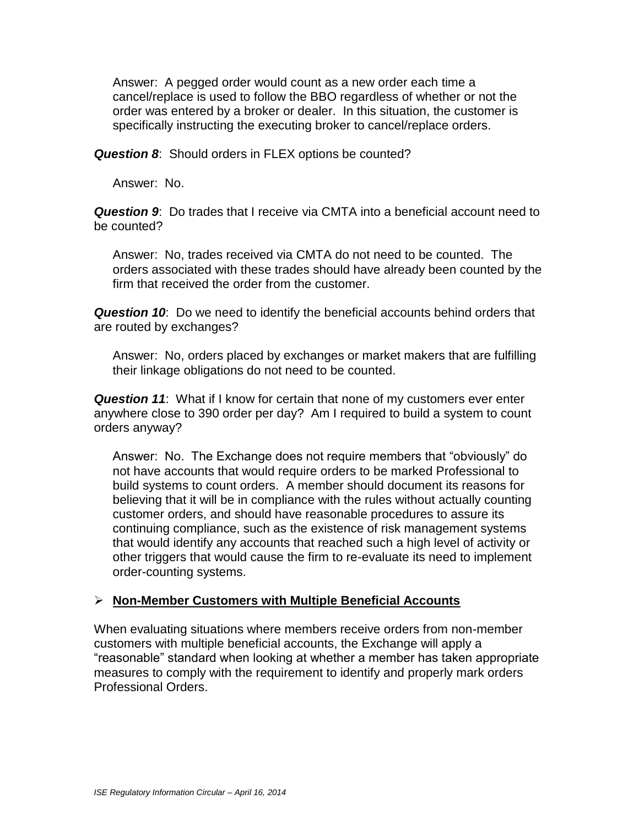Answer: A pegged order would count as a new order each time a cancel/replace is used to follow the BBO regardless of whether or not the order was entered by a broker or dealer. In this situation, the customer is specifically instructing the executing broker to cancel/replace orders.

*Question 8*: Should orders in FLEX options be counted?

Answer: No.

*Question 9*: Do trades that I receive via CMTA into a beneficial account need to be counted?

Answer: No, trades received via CMTA do not need to be counted. The orders associated with these trades should have already been counted by the firm that received the order from the customer.

**Question 10:** Do we need to identify the beneficial accounts behind orders that are routed by exchanges?

Answer: No, orders placed by exchanges or market makers that are fulfilling their linkage obligations do not need to be counted.

*Question 11*: What if I know for certain that none of my customers ever enter anywhere close to 390 order per day? Am I required to build a system to count orders anyway?

Answer: No. The Exchange does not require members that "obviously" do not have accounts that would require orders to be marked Professional to build systems to count orders. A member should document its reasons for believing that it will be in compliance with the rules without actually counting customer orders, and should have reasonable procedures to assure its continuing compliance, such as the existence of risk management systems that would identify any accounts that reached such a high level of activity or other triggers that would cause the firm to re-evaluate its need to implement order-counting systems.

#### **Non-Member Customers with Multiple Beneficial Accounts**

When evaluating situations where members receive orders from non-member customers with multiple beneficial accounts, the Exchange will apply a "reasonable" standard when looking at whether a member has taken appropriate measures to comply with the requirement to identify and properly mark orders Professional Orders.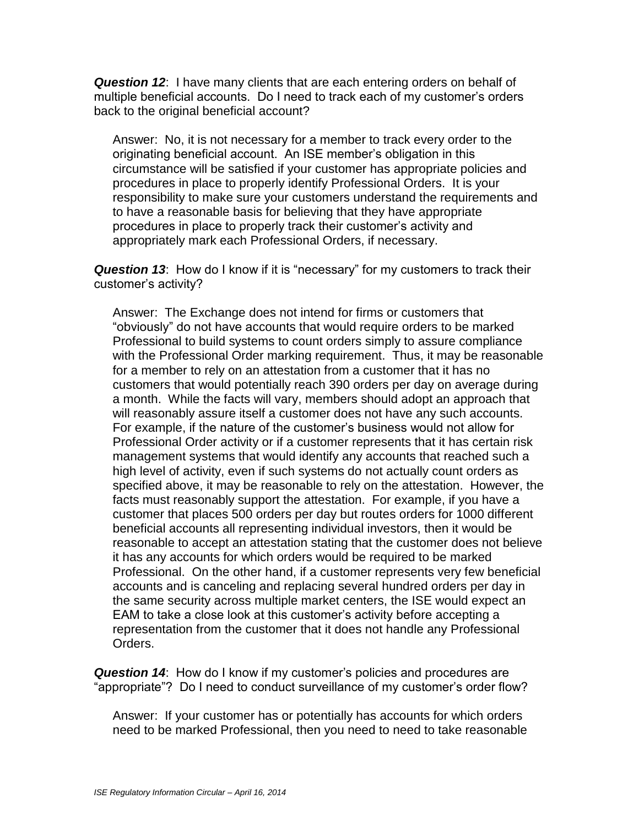*Question 12*: I have many clients that are each entering orders on behalf of multiple beneficial accounts. Do I need to track each of my customer's orders back to the original beneficial account?

Answer: No, it is not necessary for a member to track every order to the originating beneficial account. An ISE member's obligation in this circumstance will be satisfied if your customer has appropriate policies and procedures in place to properly identify Professional Orders. It is your responsibility to make sure your customers understand the requirements and to have a reasonable basis for believing that they have appropriate procedures in place to properly track their customer's activity and appropriately mark each Professional Orders, if necessary.

*Question 13*: How do I know if it is "necessary" for my customers to track their customer's activity?

Answer: The Exchange does not intend for firms or customers that "obviously" do not have accounts that would require orders to be marked Professional to build systems to count orders simply to assure compliance with the Professional Order marking requirement. Thus, it may be reasonable for a member to rely on an attestation from a customer that it has no customers that would potentially reach 390 orders per day on average during a month. While the facts will vary, members should adopt an approach that will reasonably assure itself a customer does not have any such accounts. For example, if the nature of the customer's business would not allow for Professional Order activity or if a customer represents that it has certain risk management systems that would identify any accounts that reached such a high level of activity, even if such systems do not actually count orders as specified above, it may be reasonable to rely on the attestation. However, the facts must reasonably support the attestation. For example, if you have a customer that places 500 orders per day but routes orders for 1000 different beneficial accounts all representing individual investors, then it would be reasonable to accept an attestation stating that the customer does not believe it has any accounts for which orders would be required to be marked Professional. On the other hand, if a customer represents very few beneficial accounts and is canceling and replacing several hundred orders per day in the same security across multiple market centers, the ISE would expect an EAM to take a close look at this customer's activity before accepting a representation from the customer that it does not handle any Professional Orders.

*Question 14*: How do I know if my customer's policies and procedures are "appropriate"? Do I need to conduct surveillance of my customer's order flow?

Answer: If your customer has or potentially has accounts for which orders need to be marked Professional, then you need to need to take reasonable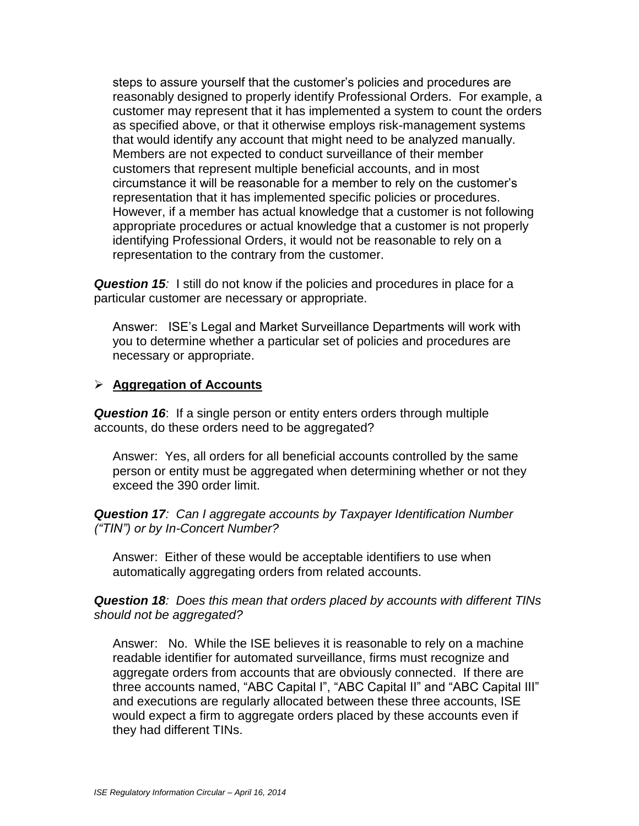steps to assure yourself that the customer's policies and procedures are reasonably designed to properly identify Professional Orders. For example, a customer may represent that it has implemented a system to count the orders as specified above, or that it otherwise employs risk-management systems that would identify any account that might need to be analyzed manually. Members are not expected to conduct surveillance of their member customers that represent multiple beneficial accounts, and in most circumstance it will be reasonable for a member to rely on the customer's representation that it has implemented specific policies or procedures. However, if a member has actual knowledge that a customer is not following appropriate procedures or actual knowledge that a customer is not properly identifying Professional Orders, it would not be reasonable to rely on a representation to the contrary from the customer.

**Question 15**: I still do not know if the policies and procedures in place for a particular customer are necessary or appropriate*.* 

Answer: ISE's Legal and Market Surveillance Departments will work with you to determine whether a particular set of policies and procedures are necessary or appropriate.

#### **Aggregation of Accounts**

*Question 16*: If a single person or entity enters orders through multiple accounts, do these orders need to be aggregated?

Answer: Yes, all orders for all beneficial accounts controlled by the same person or entity must be aggregated when determining whether or not they exceed the 390 order limit.

*Question 17: Can I aggregate accounts by Taxpayer Identification Number ("TIN") or by In-Concert Number?*

Answer: Either of these would be acceptable identifiers to use when automatically aggregating orders from related accounts.

*Question 18: Does this mean that orders placed by accounts with different TINs should not be aggregated?*

Answer: No. While the ISE believes it is reasonable to rely on a machine readable identifier for automated surveillance, firms must recognize and aggregate orders from accounts that are obviously connected. If there are three accounts named, "ABC Capital I", "ABC Capital II" and "ABC Capital III" and executions are regularly allocated between these three accounts, ISE would expect a firm to aggregate orders placed by these accounts even if they had different TINs.